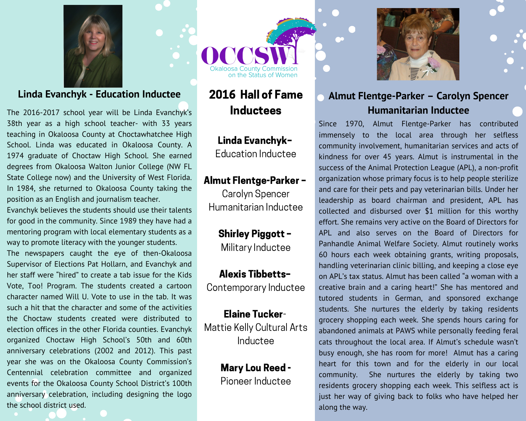

#### **Linda Evanchyk - Education Inductee**

The 2016-2017 school year will be Linda Evanchyk's 38th year as a high school teacher- with 33 years teaching in Okaloosa County at Choctawhatchee High School. Linda was educated in Okaloosa County. A 1974 graduate of Choctaw High School. She earned degrees from Okaloosa Walton Junior College (NW FL State College now) and the University of West Florida. In 1984, she returned to Okaloosa County taking the position as an English and journalism teacher.

Evanchyk believes the students should use their talents for good in the community. Since 1989 they have had a mentoring program with local elementary students as a way to promote literacy with the younger students.

The newspapers caught the eye of then-Okaloosa Supervisor of Elections Pat Hollarn, and Evanchyk and her staff were "hired" to create a tab issue for the Kids Vote, Too! Program. The students created a cartoon character named Will U. Vote to use in the tab. It was such a hit that the character and some of the activities the Choctaw students created were distributed to election offices in the other Florida counties. Evanchyk organized Choctaw High School's 50th and 60th anniversary celebrations (2002 and 2012). This past year she was on the Okaloosa County Commission's Centennial celebration committee and organized events for the Okaloosa County School District's 100th anniversary celebration, including designing the logo the school district used.

on the Status of Women

# 2016 Hall of Fame **Inductees**

#### Linda Evanchyk-Education Inductee

#### **Almut Flentge-Parker -**

Carolyn Spencer Humanitarian Inductee

> **Shirley Piggott -**Military Inductee

**Alexis Tibbetts-**Contemporary Inductee

**Elaine Tucker-**Mattie Kelly Cultural Arts Inductee

## **Mary Lou Reed -**

Pioneer Inductee



## Almut Flentge-Parker - Carolyn Spencer **Humanitarian Inductee**

Since 1970, Almut Flentge-Parker has contributed immensely to the local area through her selfless community involvement, humanitarian services and acts of kindness for over 45 years. Almut is instrumental in the success of the Animal Protection League (APL), a non-profit organization whose primary focus is to help people sterilize and care for their pets and pay veterinarian bills. Under her leadership as board chairman and president, APL has collected and disbursed over \$1 million for this worthy effort. She remains very active on the Board of Directors for APL and also serves on the Board of Directors for Panhandle Animal Welfare Society. Almut routinely works 60 hours each week obtaining grants, writing proposals, handling veterinarian clinic billing, and keeping a close eye on APL's tax status. Almut has been called "a woman with a creative brain and a caring heart!" She has mentored and tutored students in German, and sponsored exchange students. She nurtures the elderly by taking residents grocery shopping each week. She spends hours caring for abandoned animals at PAWS while personally feeding feral cats throughout the local area. If Almut's schedule wasn't busy enough, she has room for more! Almut has a caring heart for this town and for the elderly in our local community. She nurtures the elderly by taking two residents grocery shopping each week. This selfless act is just her way of giving back to folks who have helped her along the way.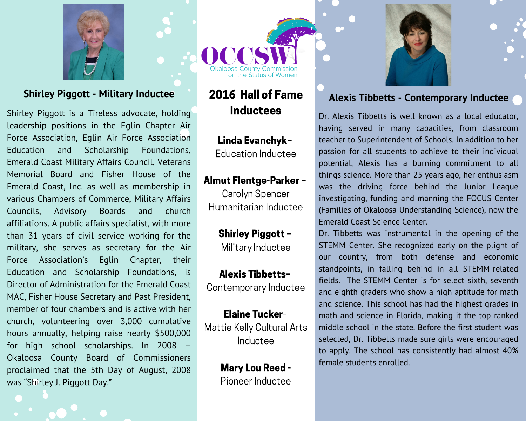

#### **Shirley Piggott - Military Inductee**

Shirley Piggott is a Tireless advocate, holding leadership positions in the Eqlin Chapter Air Force Association, Eglin Air Force Association Education Scholarship Foundations, and Emerald Coast Military Affairs Council, Veterans Memorial Board and Fisher House of the Emerald Coast, Inc. as well as membership in various Chambers of Commerce, Military Affairs Advisory **Boards** and church Councils, affiliations. A public affairs specialist, with more than 31 years of civil service working for the military, she serves as secretary for the Air Force Association's Eqlin Chapter, their Education and Scholarship Foundations, is Director of Administration for the Emerald Coast MAC, Fisher House Secretary and Past President, member of four chambers and is active with her church, volunteering over 3,000 cumulative hours annually, helping raise nearly \$500,000 for high school scholarships. In 2008 -Okaloosa County Board of Commissioners proclaimed that the 5th Day of August, 2008 was "Shirley J. Piggott Day."

our Status of Women

# 2016 Hall of Fame **Inductees**

## Linda Evanchyk-**Education Inductee**

## **Almut Flentge-Parker -**

Carolyn Spencer Humanitarian Inductee

> **Shirley Piggott -**Military Inductee

**Alexis Tibbetts-**Contemporary Inductee

**Elaine Tucker-**Mattie Kelly Cultural Arts Inductee

> **Mary Lou Reed -**Pioneer Inductee



## **Alexis Tibbetts - Contemporary Inductee**

Dr. Alexis Tibbetts is well known as a local educator, having served in many capacities, from classroom teacher to Superintendent of Schools. In addition to her passion for all students to achieve to their individual potential, Alexis has a burning commitment to all things science. More than 25 years ago, her enthusiasm was the driving force behind the Junior League investigating, funding and manning the FOCUS Center (Families of Okaloosa Understanding Science), now the Emerald Coast Science Center.

Dr. Tibbetts was instrumental in the opening of the STEMM Center. She recognized early on the plight of our country, from both defense and economic standpoints, in falling behind in all STEMM-related fields. The STEMM Center is for select sixth, seventh and eighth graders who show a high aptitude for math and science. This school has had the highest grades in math and science in Florida, making it the top ranked middle school in the state. Before the first student was selected, Dr. Tibbetts made sure girls were encouraged to apply. The school has consistently had almost 40% female students enrolled.